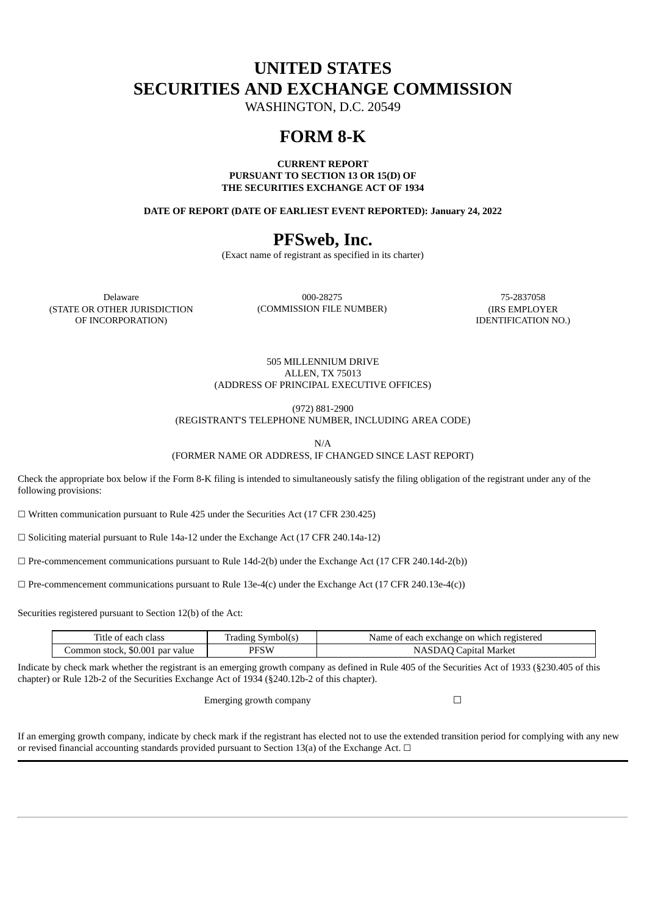## **UNITED STATES SECURITIES AND EXCHANGE COMMISSION**

WASHINGTON, D.C. 20549

### **FORM 8-K**

**CURRENT REPORT PURSUANT TO SECTION 13 OR 15(D) OF THE SECURITIES EXCHANGE ACT OF 1934**

**DATE OF REPORT (DATE OF EARLIEST EVENT REPORTED): January 24, 2022**

## **PFSweb, Inc.**

(Exact name of registrant as specified in its charter)

(STATE OR OTHER JURISDICTION OF INCORPORATION)

Delaware 000-28275 75-2837058 (COMMISSION FILE NUMBER) (IRS EMPLOYER

IDENTIFICATION NO.)

505 MILLENNIUM DRIVE ALLEN, TX 75013 (ADDRESS OF PRINCIPAL EXECUTIVE OFFICES)

(972) 881-2900

(REGISTRANT'S TELEPHONE NUMBER, INCLUDING AREA CODE)

N/A

(FORMER NAME OR ADDRESS, IF CHANGED SINCE LAST REPORT)

Check the appropriate box below if the Form 8-K filing is intended to simultaneously satisfy the filing obligation of the registrant under any of the following provisions:

 $\Box$  Written communication pursuant to Rule 425 under the Securities Act (17 CFR 230.425)

☐ Soliciting material pursuant to Rule 14a-12 under the Exchange Act (17 CFR 240.14a-12)

 $\Box$  Pre-commencement communications pursuant to Rule 14d-2(b) under the Exchange Act (17 CFR 240.14d-2(b))

 $\Box$  Pre-commencement communications pursuant to Rule 13e-4(c) under the Exchange Act (17 CFR 240.13e-4(c))

Securities registered pursuant to Section 12(b) of the Act:

| Title of each class             | Trading Symbol(s) | Name of each exchange on which registered |
|---------------------------------|-------------------|-------------------------------------------|
| Common stock, \$0.001 par value | PFSW              | NASDAQ Capital Market                     |

Indicate by check mark whether the registrant is an emerging growth company as defined in Rule 405 of the Securities Act of 1933 (§230.405 of this chapter) or Rule 12b-2 of the Securities Exchange Act of 1934 (§240.12b-2 of this chapter).

Emerging growth company  $\Box$ 

If an emerging growth company, indicate by check mark if the registrant has elected not to use the extended transition period for complying with any new or revised financial accounting standards provided pursuant to Section 13(a) of the Exchange Act.  $\Box$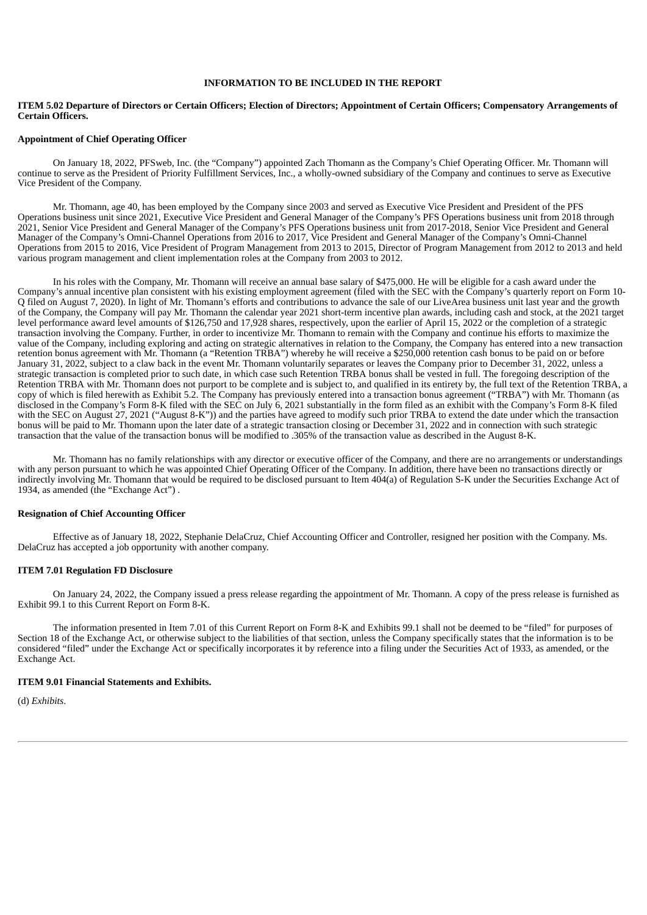#### **INFORMATION TO BE INCLUDED IN THE REPORT**

#### ITEM 5.02 Departure of Directors or Certain Officers; Election of Directors; Appointment of Certain Officers; Compensatory Arrangements of **Certain Officers.**

#### **Appointment of Chief Operating Officer**

On January 18, 2022, PFSweb, Inc. (the "Company") appointed Zach Thomann as the Company's Chief Operating Officer. Mr. Thomann will continue to serve as the President of Priority Fulfillment Services, Inc., a wholly-owned subsidiary of the Company and continues to serve as Executive Vice President of the Company.

Mr. Thomann, age 40, has been employed by the Company since 2003 and served as Executive Vice President and President of the PFS Operations business unit since 2021, Executive Vice President and General Manager of the Company's PFS Operations business unit from 2018 through 2021, Senior Vice President and General Manager of the Company's PFS Operations business unit from 2017-2018, Senior Vice President and General Manager of the Company's Omni-Channel Operations from 2016 to 2017, Vice President and General Manager of the Company's Omni-Channel Operations from 2015 to 2016, Vice President of Program Management from 2013 to 2015, Director of Program Management from 2012 to 2013 and held various program management and client implementation roles at the Company from 2003 to 2012.

In his roles with the Company, Mr. Thomann will receive an annual base salary of \$475,000. He will be eligible for a cash award under the Company's annual incentive plan consistent with his existing employment agreement (filed with the SEC with the Company's quarterly report on Form 10- Q filed on August 7, 2020). In light of Mr. Thomann's efforts and contributions to advance the sale of our LiveArea business unit last year and the growth of the Company, the Company will pay Mr. Thomann the calendar year 2021 short-term incentive plan awards, including cash and stock, at the 2021 target level performance award level amounts of \$126,750 and 17,928 shares, respectively, upon the earlier of April 15, 2022 or the completion of a strategic transaction involving the Company. Further, in order to incentivize Mr. Thomann to remain with the Company and continue his efforts to maximize the value of the Company, including exploring and acting on strategic alternatives in relation to the Company, the Company has entered into a new transaction retention bonus agreement with Mr. Thomann (a "Retention TRBA") whereby he will receive a \$250,000 retention cash bonus to be paid on or before January 31, 2022, subject to a claw back in the event Mr. Thomann voluntarily separates or leaves the Company prior to December 31, 2022, unless a strategic transaction is completed prior to such date, in which case such Retention TRBA bonus shall be vested in full. The foregoing description of the Retention TRBA with Mr. Thomann does not purport to be complete and is subject to, and qualified in its entirety by, the full text of the Retention TRBA, a copy of which is filed herewith as Exhibit 5.2. The Company has previously entered into a transaction bonus agreement ("TRBA") with Mr. Thomann (as disclosed in the Company's Form 8-K filed with the SEC on July 6, 2021 substantially in the form filed as an exhibit with the Company's Form 8-K filed with the SEC on August 27, 2021 ("August 8-K")) and the parties have agreed to modify such prior TRBA to extend the date under which the transaction bonus will be paid to Mr. Thomann upon the later date of a strategic transaction closing or December 31, 2022 and in connection with such strategic transaction that the value of the transaction bonus will be modified to .305% of the transaction value as described in the August 8-K.

Mr. Thomann has no family relationships with any director or executive officer of the Company, and there are no arrangements or understandings with any person pursuant to which he was appointed Chief Operating Officer of the Company. In addition, there have been no transactions directly or indirectly involving Mr. Thomann that would be required to be disclosed pursuant to Item 404(a) of Regulation S-K under the Securities Exchange Act of 1934, as amended (the "Exchange Act") .

#### **Resignation of Chief Accounting Officer**

Effective as of January 18, 2022, Stephanie DelaCruz, Chief Accounting Officer and Controller, resigned her position with the Company. Ms. DelaCruz has accepted a job opportunity with another company.

#### **ITEM 7.01 Regulation FD Disclosure**

On January 24, 2022, the Company issued a press release regarding the appointment of Mr. Thomann. A copy of the press release is furnished as Exhibit 99.1 to this Current Report on Form 8-K.

The information presented in Item 7.01 of this Current Report on Form 8-K and Exhibits 99.1 shall not be deemed to be "filed" for purposes of Section 18 of the Exchange Act, or otherwise subject to the liabilities of that section, unless the Company specifically states that the information is to be considered "filed" under the Exchange Act or specifically incorporates it by reference into a filing under the Securities Act of 1933, as amended, or the Exchange Act.

#### **ITEM 9.01 Financial Statements and Exhibits.**

(d) *Exhibits*.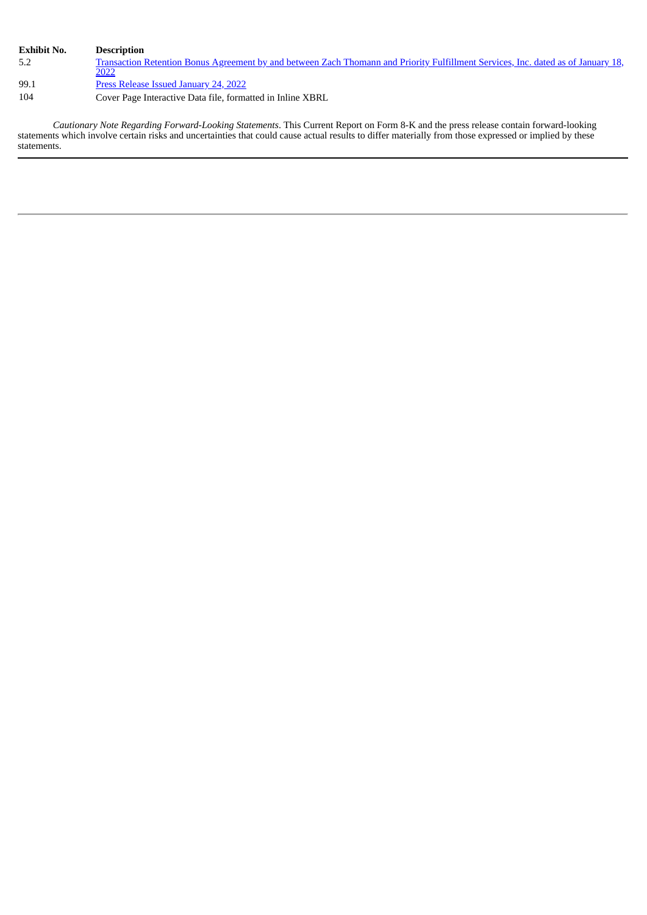| <b>Exhibit No.</b> | Description                                                                                                                               |
|--------------------|-------------------------------------------------------------------------------------------------------------------------------------------|
| 5.2                | Transaction Retention Bonus Agreement by and between Zach Thomann and Priority Fulfillment Services, Inc. dated as of January 18,<br>2022 |
| 99.1               | <b>Press Release Issued January 24, 2022</b>                                                                                              |
| 104                | Cover Page Interactive Data file, formatted in Inline XBRL                                                                                |

*Cautionary Note Regarding Forward-Looking Statements*. This Current Report on Form 8-K and the press release contain forward-looking statements which involve certain risks and uncertainties that could cause actual results to differ materially from those expressed or implied by these statements.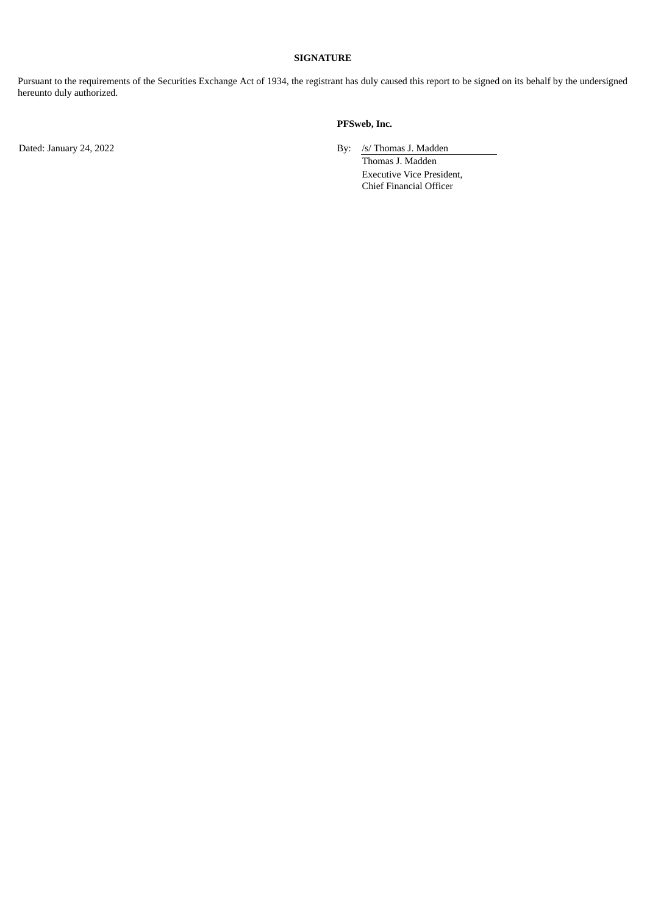#### **SIGNATURE**

Pursuant to the requirements of the Securities Exchange Act of 1934, the registrant has duly caused this report to be signed on its behalf by the undersigned hereunto duly authorized.

#### **PFSweb, Inc.**

Dated: January 24, 2022 By: /s/ Thomas J. Madden

Thomas J. Madden Executive Vice President, Chief Financial Officer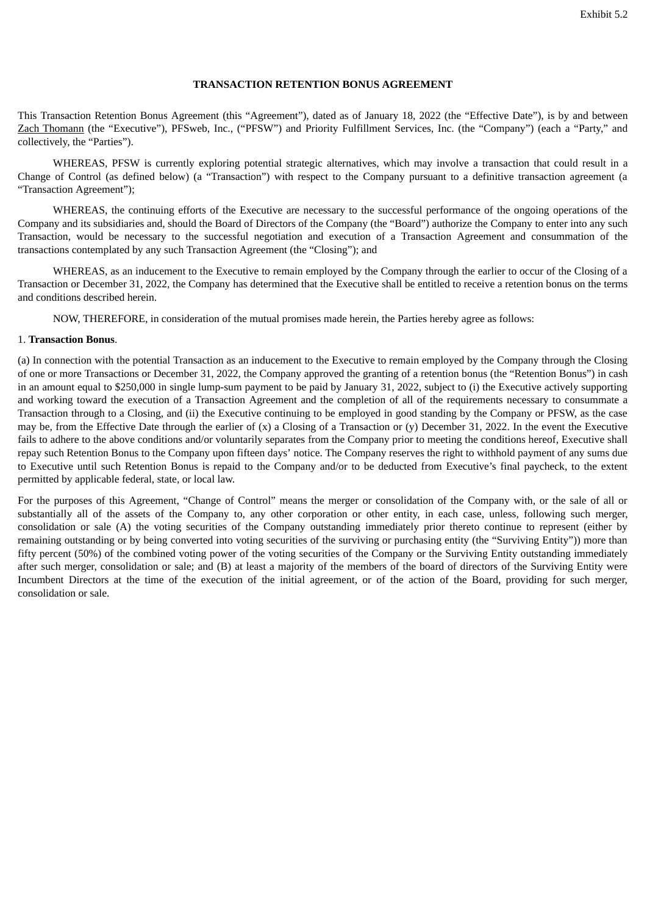#### **TRANSACTION RETENTION BONUS AGREEMENT**

<span id="page-4-0"></span>This Transaction Retention Bonus Agreement (this "Agreement"), dated as of January 18, 2022 (the "Effective Date"), is by and between Zach Thomann (the "Executive"), PFSweb, Inc., ("PFSW") and Priority Fulfillment Services, Inc. (the "Company") (each a "Party," and collectively, the "Parties").

WHEREAS, PFSW is currently exploring potential strategic alternatives, which may involve a transaction that could result in a Change of Control (as defined below) (a "Transaction") with respect to the Company pursuant to a definitive transaction agreement (a "Transaction Agreement");

WHEREAS, the continuing efforts of the Executive are necessary to the successful performance of the ongoing operations of the Company and its subsidiaries and, should the Board of Directors of the Company (the "Board") authorize the Company to enter into any such Transaction, would be necessary to the successful negotiation and execution of a Transaction Agreement and consummation of the transactions contemplated by any such Transaction Agreement (the "Closing"); and

WHEREAS, as an inducement to the Executive to remain employed by the Company through the earlier to occur of the Closing of a Transaction or December 31, 2022, the Company has determined that the Executive shall be entitled to receive a retention bonus on the terms and conditions described herein.

NOW, THEREFORE, in consideration of the mutual promises made herein, the Parties hereby agree as follows:

#### 1. **Transaction Bonus**.

(a) In connection with the potential Transaction as an inducement to the Executive to remain employed by the Company through the Closing of one or more Transactions or December 31, 2022, the Company approved the granting of a retention bonus (the "Retention Bonus") in cash in an amount equal to \$250,000 in single lump-sum payment to be paid by January 31, 2022, subject to (i) the Executive actively supporting and working toward the execution of a Transaction Agreement and the completion of all of the requirements necessary to consummate a Transaction through to a Closing, and (ii) the Executive continuing to be employed in good standing by the Company or PFSW, as the case may be, from the Effective Date through the earlier of (x) a Closing of a Transaction or (y) December 31, 2022. In the event the Executive fails to adhere to the above conditions and/or voluntarily separates from the Company prior to meeting the conditions hereof, Executive shall repay such Retention Bonus to the Company upon fifteen days' notice. The Company reserves the right to withhold payment of any sums due to Executive until such Retention Bonus is repaid to the Company and/or to be deducted from Executive's final paycheck, to the extent permitted by applicable federal, state, or local law.

For the purposes of this Agreement, "Change of Control" means the merger or consolidation of the Company with, or the sale of all or substantially all of the assets of the Company to, any other corporation or other entity, in each case, unless, following such merger, consolidation or sale (A) the voting securities of the Company outstanding immediately prior thereto continue to represent (either by remaining outstanding or by being converted into voting securities of the surviving or purchasing entity (the "Surviving Entity")) more than fifty percent (50%) of the combined voting power of the voting securities of the Company or the Surviving Entity outstanding immediately after such merger, consolidation or sale; and (B) at least a majority of the members of the board of directors of the Surviving Entity were Incumbent Directors at the time of the execution of the initial agreement, or of the action of the Board, providing for such merger, consolidation or sale.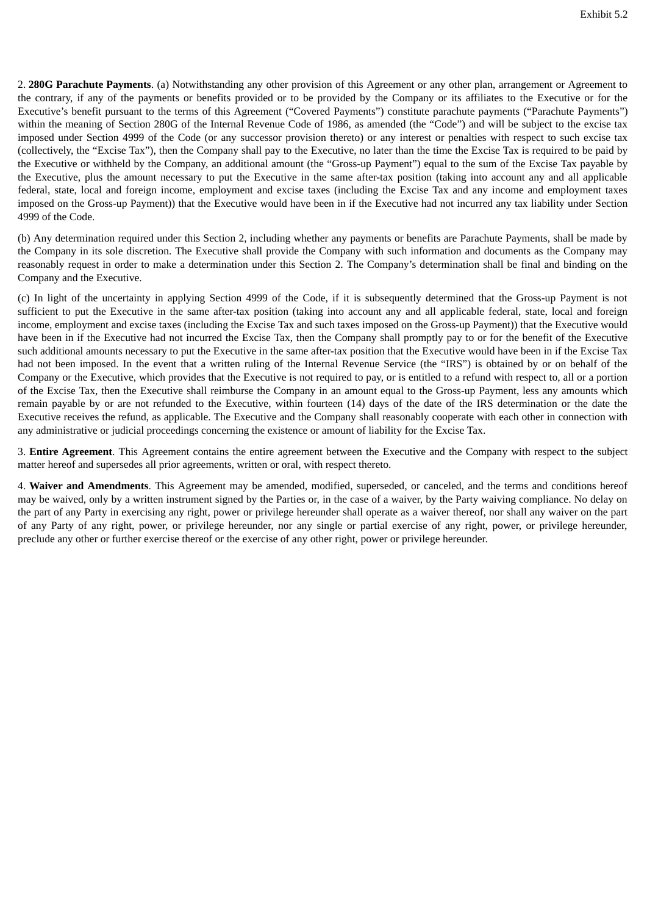2. **280G Parachute Payments**. (a) Notwithstanding any other provision of this Agreement or any other plan, arrangement or Agreement to the contrary, if any of the payments or benefits provided or to be provided by the Company or its affiliates to the Executive or for the Executive's benefit pursuant to the terms of this Agreement ("Covered Payments") constitute parachute payments ("Parachute Payments") within the meaning of Section 280G of the Internal Revenue Code of 1986, as amended (the "Code") and will be subject to the excise tax imposed under Section 4999 of the Code (or any successor provision thereto) or any interest or penalties with respect to such excise tax (collectively, the "Excise Tax"), then the Company shall pay to the Executive, no later than the time the Excise Tax is required to be paid by the Executive or withheld by the Company, an additional amount (the "Gross-up Payment") equal to the sum of the Excise Tax payable by the Executive, plus the amount necessary to put the Executive in the same after-tax position (taking into account any and all applicable federal, state, local and foreign income, employment and excise taxes (including the Excise Tax and any income and employment taxes imposed on the Gross-up Payment)) that the Executive would have been in if the Executive had not incurred any tax liability under Section 4999 of the Code.

(b) Any determination required under this Section 2, including whether any payments or benefits are Parachute Payments, shall be made by the Company in its sole discretion. The Executive shall provide the Company with such information and documents as the Company may reasonably request in order to make a determination under this Section 2. The Company's determination shall be final and binding on the Company and the Executive.

(c) In light of the uncertainty in applying Section 4999 of the Code, if it is subsequently determined that the Gross-up Payment is not sufficient to put the Executive in the same after-tax position (taking into account any and all applicable federal, state, local and foreign income, employment and excise taxes (including the Excise Tax and such taxes imposed on the Gross-up Payment)) that the Executive would have been in if the Executive had not incurred the Excise Tax, then the Company shall promptly pay to or for the benefit of the Executive such additional amounts necessary to put the Executive in the same after-tax position that the Executive would have been in if the Excise Tax had not been imposed. In the event that a written ruling of the Internal Revenue Service (the "IRS") is obtained by or on behalf of the Company or the Executive, which provides that the Executive is not required to pay, or is entitled to a refund with respect to, all or a portion of the Excise Tax, then the Executive shall reimburse the Company in an amount equal to the Gross-up Payment, less any amounts which remain payable by or are not refunded to the Executive, within fourteen (14) days of the date of the IRS determination or the date the Executive receives the refund, as applicable. The Executive and the Company shall reasonably cooperate with each other in connection with any administrative or judicial proceedings concerning the existence or amount of liability for the Excise Tax.

3. **Entire Agreement**. This Agreement contains the entire agreement between the Executive and the Company with respect to the subject matter hereof and supersedes all prior agreements, written or oral, with respect thereto.

4. **Waiver and Amendments**. This Agreement may be amended, modified, superseded, or canceled, and the terms and conditions hereof may be waived, only by a written instrument signed by the Parties or, in the case of a waiver, by the Party waiving compliance. No delay on the part of any Party in exercising any right, power or privilege hereunder shall operate as a waiver thereof, nor shall any waiver on the part of any Party of any right, power, or privilege hereunder, nor any single or partial exercise of any right, power, or privilege hereunder, preclude any other or further exercise thereof or the exercise of any other right, power or privilege hereunder.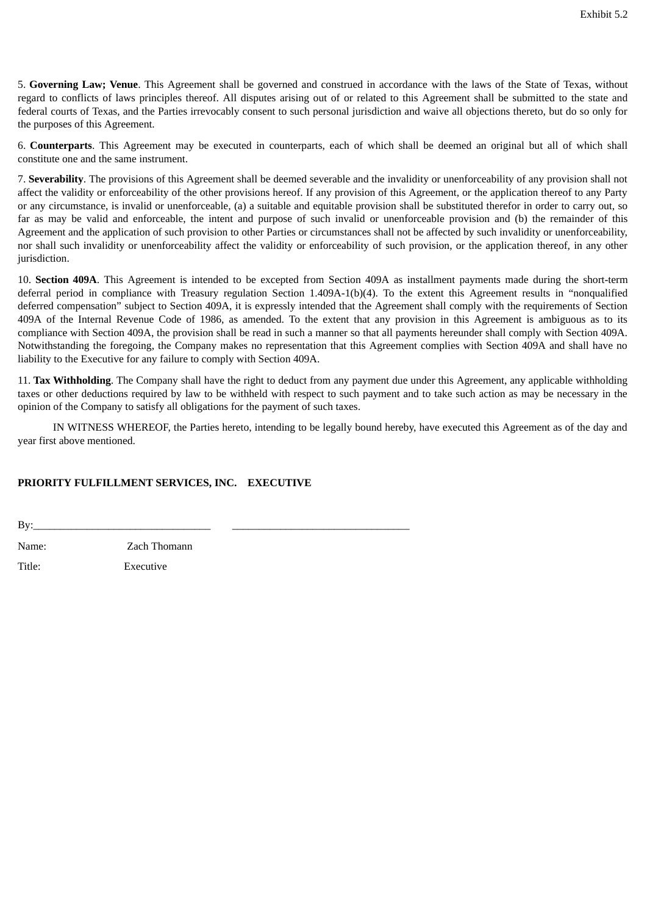5. **Governing Law; Venue**. This Agreement shall be governed and construed in accordance with the laws of the State of Texas, without regard to conflicts of laws principles thereof. All disputes arising out of or related to this Agreement shall be submitted to the state and federal courts of Texas, and the Parties irrevocably consent to such personal jurisdiction and waive all objections thereto, but do so only for the purposes of this Agreement.

6. **Counterparts**. This Agreement may be executed in counterparts, each of which shall be deemed an original but all of which shall constitute one and the same instrument.

7. **Severability**. The provisions of this Agreement shall be deemed severable and the invalidity or unenforceability of any provision shall not affect the validity or enforceability of the other provisions hereof. If any provision of this Agreement, or the application thereof to any Party or any circumstance, is invalid or unenforceable, (a) a suitable and equitable provision shall be substituted therefor in order to carry out, so far as may be valid and enforceable, the intent and purpose of such invalid or unenforceable provision and (b) the remainder of this Agreement and the application of such provision to other Parties or circumstances shall not be affected by such invalidity or unenforceability, nor shall such invalidity or unenforceability affect the validity or enforceability of such provision, or the application thereof, in any other jurisdiction.

10. **Section 409A**. This Agreement is intended to be excepted from Section 409A as installment payments made during the short-term deferral period in compliance with Treasury regulation Section 1.409A-1(b)(4). To the extent this Agreement results in "nonqualified deferred compensation" subject to Section 409A, it is expressly intended that the Agreement shall comply with the requirements of Section 409A of the Internal Revenue Code of 1986, as amended. To the extent that any provision in this Agreement is ambiguous as to its compliance with Section 409A, the provision shall be read in such a manner so that all payments hereunder shall comply with Section 409A. Notwithstanding the foregoing, the Company makes no representation that this Agreement complies with Section 409A and shall have no liability to the Executive for any failure to comply with Section 409A.

11. **Tax Withholding**. The Company shall have the right to deduct from any payment due under this Agreement, any applicable withholding taxes or other deductions required by law to be withheld with respect to such payment and to take such action as may be necessary in the opinion of the Company to satisfy all obligations for the payment of such taxes.

IN WITNESS WHEREOF, the Parties hereto, intending to be legally bound hereby, have executed this Agreement as of the day and year first above mentioned.

### **PRIORITY FULFILLMENT SERVICES, INC. EXECUTIVE**

By:\_\_\_\_\_\_\_\_\_\_\_\_\_\_\_\_\_\_\_\_\_\_\_\_\_\_\_\_\_\_\_\_\_ \_\_\_\_\_\_\_\_\_\_\_\_\_\_\_\_\_\_\_\_\_\_\_\_\_\_\_\_\_\_\_\_\_

Name: Zach Thomann

Title: Executive